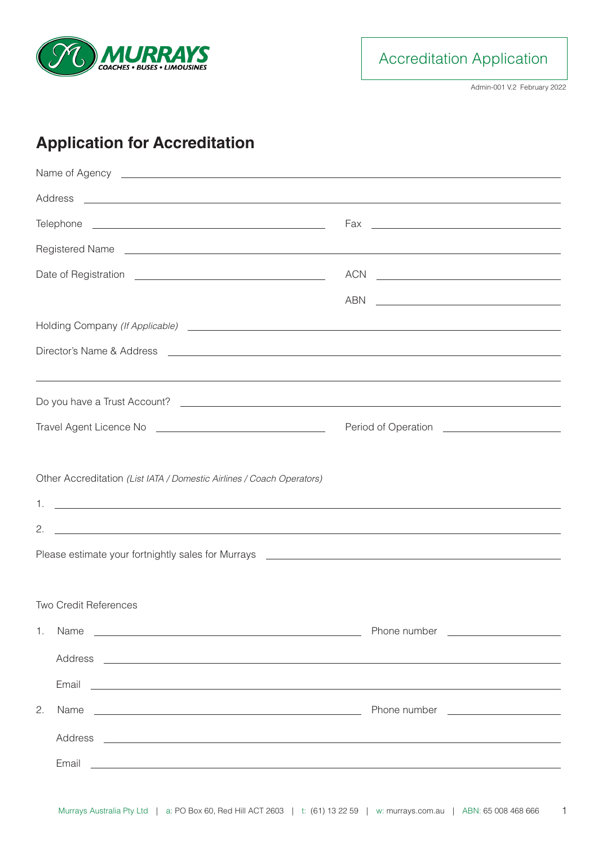

Accreditation Application

Admin-001 V.2 February 2022

## **Application for Accreditation**

|                                                                                                                                                                                                                                      | $ACN \begin{tabular}{ c c c } \hline \multicolumn{3}{ c }{\textbf{ACN}} & \multicolumn{3}{ c }{\textbf{ACN}} \\ \hline \multicolumn{3}{ c }{\textbf{ACN}} & \multicolumn{3}{ c }{\textbf{ACN}} \\ \hline \multicolumn{3}{ c }{\textbf{ACN}} & \multicolumn{3}{ c }{\textbf{ACN}} \\ \hline \multicolumn{3}{ c }{\textbf{ACN}} & \multicolumn{3}{ c }{\textbf{ACN}} \\ \hline \multicolumn{3}{ c }{\textbf{ACN}} & \multicolumn{3}{ c }{\textbf{ACN}}$ |  |  |  |
|--------------------------------------------------------------------------------------------------------------------------------------------------------------------------------------------------------------------------------------|-------------------------------------------------------------------------------------------------------------------------------------------------------------------------------------------------------------------------------------------------------------------------------------------------------------------------------------------------------------------------------------------------------------------------------------------------------|--|--|--|
|                                                                                                                                                                                                                                      | ABN<br><u> Alexandria de la contrada de la contrada de la contrada de la contrada de la contrada de la contrada de la c</u>                                                                                                                                                                                                                                                                                                                           |  |  |  |
|                                                                                                                                                                                                                                      |                                                                                                                                                                                                                                                                                                                                                                                                                                                       |  |  |  |
|                                                                                                                                                                                                                                      |                                                                                                                                                                                                                                                                                                                                                                                                                                                       |  |  |  |
|                                                                                                                                                                                                                                      |                                                                                                                                                                                                                                                                                                                                                                                                                                                       |  |  |  |
|                                                                                                                                                                                                                                      |                                                                                                                                                                                                                                                                                                                                                                                                                                                       |  |  |  |
|                                                                                                                                                                                                                                      | Period of Operation <b>contains the contract of Operation</b>                                                                                                                                                                                                                                                                                                                                                                                         |  |  |  |
|                                                                                                                                                                                                                                      |                                                                                                                                                                                                                                                                                                                                                                                                                                                       |  |  |  |
| Other Accreditation (List IATA / Domestic Airlines / Coach Operators)                                                                                                                                                                |                                                                                                                                                                                                                                                                                                                                                                                                                                                       |  |  |  |
| 1.<br><u> 1989 - Johann Stoff, deutscher Stoffen und der Stoffen und der Stoffen und der Stoffen und der Stoffen und der</u>                                                                                                         |                                                                                                                                                                                                                                                                                                                                                                                                                                                       |  |  |  |
| 2.<br><u> 1989 - Johann Stoff, amerikansk politiker (d. 1989)</u>                                                                                                                                                                    |                                                                                                                                                                                                                                                                                                                                                                                                                                                       |  |  |  |
|                                                                                                                                                                                                                                      |                                                                                                                                                                                                                                                                                                                                                                                                                                                       |  |  |  |
|                                                                                                                                                                                                                                      |                                                                                                                                                                                                                                                                                                                                                                                                                                                       |  |  |  |
| <b>Two Credit References</b>                                                                                                                                                                                                         |                                                                                                                                                                                                                                                                                                                                                                                                                                                       |  |  |  |
| 1. Name<br><u> 1990 - Johann Harry Harry Harry Harry Harry Harry Harry Harry Harry Harry Harry Harry Harry Harry Harry Harry</u>                                                                                                     |                                                                                                                                                                                                                                                                                                                                                                                                                                                       |  |  |  |
|                                                                                                                                                                                                                                      |                                                                                                                                                                                                                                                                                                                                                                                                                                                       |  |  |  |
|                                                                                                                                                                                                                                      |                                                                                                                                                                                                                                                                                                                                                                                                                                                       |  |  |  |
|                                                                                                                                                                                                                                      |                                                                                                                                                                                                                                                                                                                                                                                                                                                       |  |  |  |
| 2.                                                                                                                                                                                                                                   |                                                                                                                                                                                                                                                                                                                                                                                                                                                       |  |  |  |
|                                                                                                                                                                                                                                      |                                                                                                                                                                                                                                                                                                                                                                                                                                                       |  |  |  |
| Email <u>experience and the contract of the contract of the contract of the contract of the contract of the contract of the contract of the contract of the contract of the contract of the contract of the contract of the cont</u> |                                                                                                                                                                                                                                                                                                                                                                                                                                                       |  |  |  |